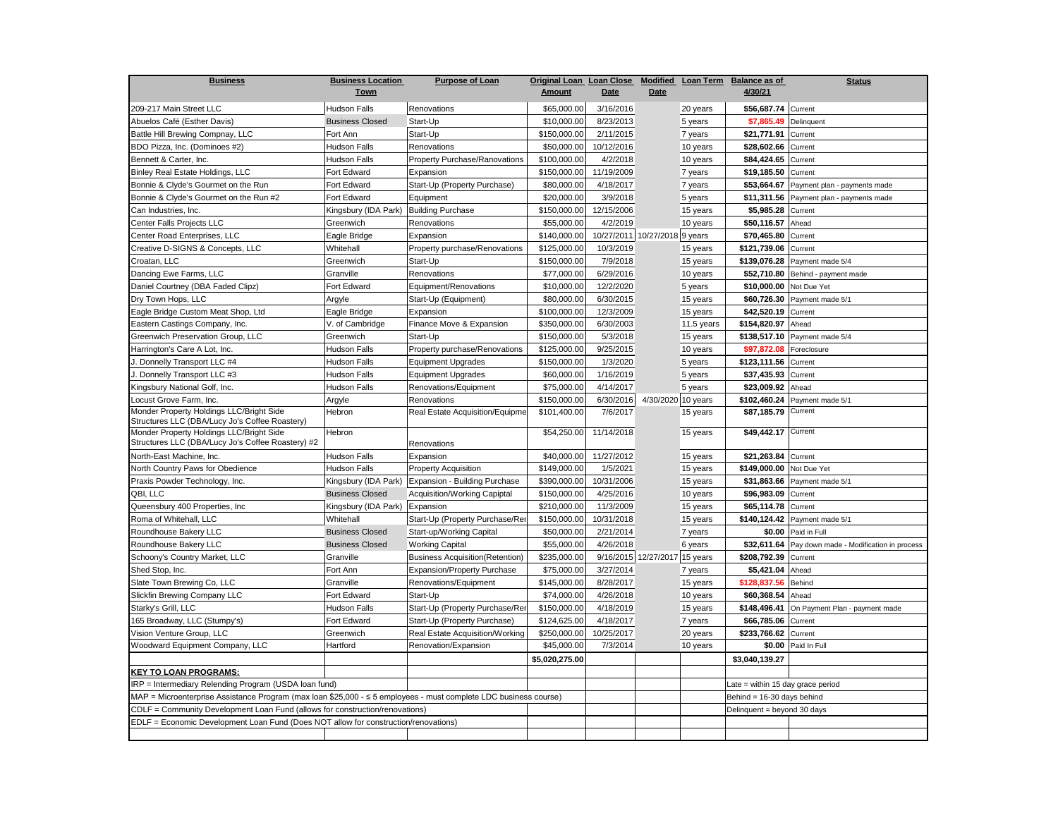| <b>Business</b>                                                                                                  | <b>Business Location</b> | <b>Purpose of Loan</b>                 | Original Loan Loan Close |            |                               | Modified Loan Term          | <b>Balance as of</b>              | <b>Status</b>                           |
|------------------------------------------------------------------------------------------------------------------|--------------------------|----------------------------------------|--------------------------|------------|-------------------------------|-----------------------------|-----------------------------------|-----------------------------------------|
|                                                                                                                  | <b>Town</b>              |                                        | <b>Amount</b>            | Date       | <b>Date</b>                   |                             | 4/30/21                           |                                         |
| 209-217 Main Street LLC                                                                                          | <b>Hudson Falls</b>      | Renovations                            | \$65,000.00              | 3/16/2016  |                               | 20 years                    | \$56,687.74 Current               |                                         |
| Abuelos Café (Esther Davis)                                                                                      | <b>Business Closed</b>   | Start-Up                               | \$10,000.00              | 8/23/2013  |                               | 5 years                     | \$7,865.49                        | Delinquent                              |
| Battle Hill Brewing Compnay, LLC                                                                                 | Fort Ann                 | Start-Up                               | \$150,000.00             | 2/11/2015  |                               | 7 years                     | \$21,771.91                       | Current                                 |
| BDO Pizza, Inc. (Dominoes #2)                                                                                    | <b>Hudson Falls</b>      | Renovations                            | \$50,000.00              | 10/12/2016 |                               | 10 years                    | \$28,602.66                       | Current                                 |
| Bennett & Carter, Inc.                                                                                           | <b>Hudson Falls</b>      | Property Purchase/Ranovations          | \$100,000.00             | 4/2/2018   |                               | 10 years                    | \$84,424.65                       | Current                                 |
| Binley Real Estate Holdings, LLC                                                                                 | Fort Edward              | Expansion                              | \$150,000.00             | 11/19/2009 |                               | 7 years                     | \$19,185.50                       | Current                                 |
| Bonnie & Clyde's Gourmet on the Run                                                                              | Fort Edward              | Start-Up (Property Purchase)           | \$80,000.00              | 4/18/2017  |                               | 7 years                     | \$53,664.67                       | Payment plan - payments made            |
| Bonnie & Clyde's Gourmet on the Run #2                                                                           | Fort Edward              | Equipment                              | \$20,000.00              | 3/9/2018   |                               | 5 years                     | \$11,311.56                       | Payment plan - payments made            |
| Can Industries, Inc.                                                                                             | Kingsbury (IDA Park)     | <b>Building Purchase</b>               | \$150,000.00             | 12/15/2006 |                               | 15 years                    | \$5,985.28                        | Current                                 |
| Center Falls Projects LLC                                                                                        | Greenwich                | Renovations                            | \$55,000.00              | 4/2/2019   |                               | 10 years                    | \$50,116.57                       | Ahead                                   |
| Center Road Enterprises, LLC                                                                                     | Eagle Bridge             | Expansion                              | \$140,000.00             |            | 10/27/2011 10/27/2018 9 years |                             | \$70,465.80                       | Current                                 |
| Creative D-SIGNS & Concepts, LLC                                                                                 | Whitehall                | Property purchase/Renovations          | \$125,000.00             | 10/3/2019  |                               | 15 years                    | \$121,739.06                      | Current                                 |
| Croatan, LLC                                                                                                     | Greenwich                | Start-Up                               | \$150,000.00             | 7/9/2018   |                               | 15 years                    | \$139,076.28                      | Payment made 5/4                        |
| Dancing Ewe Farms, LLC                                                                                           | Granville                | Renovations                            | \$77,000.00              | 6/29/2016  |                               | 10 years                    | \$52,710.80                       | Behind - payment made                   |
| Daniel Courtney (DBA Faded Clipz)                                                                                | Fort Edward              | Equipment/Renovations                  | \$10,000.00              | 12/2/2020  |                               | 5 years                     | \$10,000.00                       | Not Due Yet                             |
| Dry Town Hops, LLC                                                                                               | Argyle                   | Start-Up (Equipment)                   | \$80,000.00              | 6/30/2015  |                               | 15 years                    | \$60,726.30                       | Payment made 5/1                        |
| Eagle Bridge Custom Meat Shop, Ltd                                                                               | Eagle Bridge             | Expansion                              | \$100,000.00             | 12/3/2009  |                               | 15 years                    | \$42,520.19                       | Current                                 |
| Eastern Castings Company, Inc.                                                                                   | V. of Cambridge          | Finance Move & Expansion               | \$350,000.00             | 6/30/2003  |                               | 11.5 years                  | \$154,820.97                      | Ahead                                   |
| Greenwich Preservation Group, LLC                                                                                | Greenwich                | Start-Up                               | \$150,000.00             | 5/3/2018   |                               | 15 years                    |                                   | \$138,517.10 Payment made 5/4           |
| Harrington's Care A Lot, Inc.                                                                                    | <b>Hudson Falls</b>      | Property purchase/Renovations          | \$125,000.00             | 9/25/2015  |                               | 10 years                    | \$97,872.08                       | Foreclosure                             |
| J. Donnelly Transport LLC #4                                                                                     | <b>Hudson Falls</b>      | <b>Equipment Upgrades</b>              | \$150,000.00             | 1/3/2020   |                               | 5 years                     | \$123,111.56                      | Current                                 |
| J. Donnelly Transport LLC #3                                                                                     | <b>Hudson Falls</b>      | <b>Equipment Upgrades</b>              | \$60,000.00              | 1/16/2019  |                               | 5 years                     | \$37,435.93                       | Current                                 |
| Kingsbury National Golf, Inc.                                                                                    | <b>Hudson Falls</b>      | Renovations/Equipment                  | \$75,000.00              | 4/14/2017  |                               | 5 years                     | \$23,009.92                       | Ahead                                   |
| Locust Grove Farm, Inc.                                                                                          | Argyle                   | Renovations                            | \$150,000.00             | 6/30/2016  | 4/30/2020 10 years            |                             | \$102,460.24                      | Payment made 5/1                        |
| Monder Property Holdings LLC/Bright Side<br>Structures LLC (DBA/Lucy Jo's Coffee Roastery)                       | Hebron                   | Real Estate Acquisition/Equipme        | \$101,400.00             | 7/6/2017   |                               | 15 years                    | \$87,185.79 Current               |                                         |
| Monder Property Holdings LLC/Bright Side<br>Structures LLC (DBA/Lucy Jo's Coffee Roastery) #2                    | Hebron                   | Renovations                            | \$54,250.00              | 11/14/2018 |                               | 15 years                    | \$49,442.17 Current               |                                         |
| North-East Machine, Inc.                                                                                         | <b>Hudson Falls</b>      | Expansion                              | \$40,000.00              | 11/27/2012 |                               | 15 years                    | \$21,263.84 Current               |                                         |
| North Country Paws for Obedience                                                                                 | Hudson Falls             | <b>Property Acquisition</b>            | \$149,000.00             | 1/5/2021   |                               | 15 years                    | \$149,000.00                      | Not Due Yet                             |
| Praxis Powder Technology, Inc.                                                                                   | Kingsbury (IDA Park)     | Expansion - Building Purchase          | \$390,000.00             | 10/31/2006 |                               | 15 years                    | \$31,863.66                       | Payment made 5/1                        |
| QBI, LLC                                                                                                         | <b>Business Closed</b>   | Acquisition/Working Capiptal           | \$150,000.00             | 4/25/2016  |                               | 10 years                    | \$96,983.09                       | Current                                 |
| Queensbury 400 Properties, Inc                                                                                   | Kingsbury (IDA Park)     | Expansion                              | \$210,000.00             | 11/3/2009  |                               | 15 years                    | \$65,114.78                       | Current                                 |
| Roma of Whitehall, LLC                                                                                           | Whitehall                | Start-Up (Property Purchase/Rer        | \$150,000.00             | 10/31/2018 |                               | 15 years                    | \$140,124.42                      | Payment made 5/1                        |
| Roundhouse Bakery LLC                                                                                            | <b>Business Closed</b>   | Start-up/Working Capital               | \$50,000.00              | 2/21/2014  |                               | 7 years                     | \$0.00                            | Paid in Full                            |
| Roundhouse Bakery LLC                                                                                            | <b>Business Closed</b>   | <b>Working Capital</b>                 | \$55,000.00              | 4/26/2018  |                               | 6 years                     | \$32,611.64                       | Pay down made - Modification in process |
| Schoony's Country Market, LLC                                                                                    | Granville                | <b>Business Acquisition(Retention)</b> | \$235,000.00             |            | 9/16/2015 12/27/2017 15 years |                             | \$208,792.39                      | Current                                 |
| Shed Stop, Inc.                                                                                                  | Fort Ann                 | Expansion/Property Purchase            | \$75,000.00              | 3/27/2014  |                               | 7 years                     | \$5,421.04                        | Ahead                                   |
| Slate Town Brewing Co, LLC                                                                                       | Granville                | Renovations/Equipment                  | \$145,000.00             | 8/28/2017  |                               | 15 years                    | \$128,837.56                      | Behind                                  |
| Slickfin Brewing Company LLC                                                                                     | Fort Edward              | Start-Up                               | \$74,000.00              | 4/26/2018  |                               | 10 years                    | \$60,368.54                       | Ahead                                   |
| Starky's Grill, LLC                                                                                              | <b>Hudson Falls</b>      | Start-Up (Property Purchase/Rer        | \$150,000.00             | 4/18/2019  |                               | 15 years                    | \$148,496.41                      | On Payment Plan - payment made          |
| 165 Broadway, LLC (Stumpy's)                                                                                     | Fort Edward              | Start-Up (Property Purchase)           | \$124,625.00             | 4/18/2017  |                               | 7 years                     | \$66,785.06                       | Current                                 |
| Vision Venture Group, LLC                                                                                        | Greenwich                | Real Estate Acquisition/Working        | \$250,000.00             | 10/25/2017 |                               | 20 years                    | \$233,766.62                      | Current                                 |
| Woodward Equipment Company, LLC                                                                                  | Hartford                 | Renovation/Expansion                   | \$45,000.00              | 7/3/2014   |                               | 10 years                    | \$0.00                            | Paid In Full                            |
|                                                                                                                  |                          |                                        | \$5,020,275.00           |            |                               |                             | \$3,040,139.27                    |                                         |
| <b>KEY TO LOAN PROGRAMS:</b>                                                                                     |                          |                                        |                          |            |                               |                             |                                   |                                         |
| IRP = Intermediary Relending Program (USDA loan fund)                                                            |                          |                                        |                          |            |                               |                             | Late = within 15 day grace period |                                         |
| MAP = Microenterprise Assistance Program (max loan \$25,000 - ≤ 5 employees - must complete LDC business course) |                          |                                        |                          |            |                               | Behind = 16-30 days behind  |                                   |                                         |
| CDLF = Community Development Loan Fund (allows for construction/renovations)                                     |                          |                                        |                          |            |                               | Delinquent = beyond 30 days |                                   |                                         |
| EDLF = Economic Development Loan Fund (Does NOT allow for construction/renovations)                              |                          |                                        |                          |            |                               |                             |                                   |                                         |
|                                                                                                                  |                          |                                        |                          |            |                               |                             |                                   |                                         |